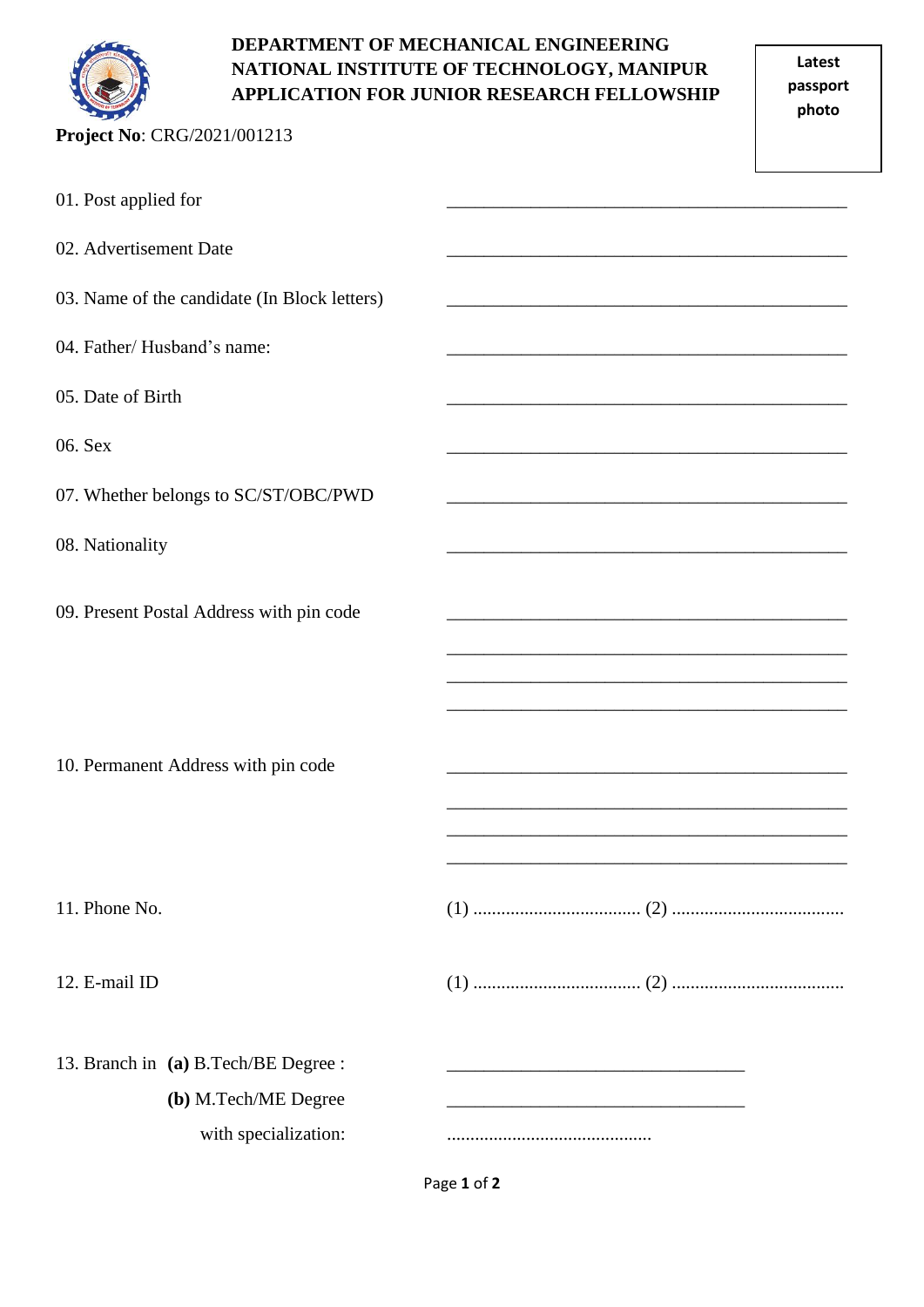

## **DEPARTMENT OF MECHANICAL ENGINEERING NATIONAL INSTITUTE OF TECHNOLOGY, MANIPUR APPLICATION FOR JUNIOR RESEARCH FELLOWSHIP**

| Project No: CRG/2021/001213                                  |  |
|--------------------------------------------------------------|--|
| 01. Post applied for                                         |  |
| 02. Advertisement Date                                       |  |
| 03. Name of the candidate (In Block letters)                 |  |
| 04. Father/Husband's name:                                   |  |
| 05. Date of Birth                                            |  |
| 06. Sex                                                      |  |
| 07. Whether belongs to SC/ST/OBC/PWD                         |  |
| 08. Nationality                                              |  |
| 09. Present Postal Address with pin code                     |  |
| 10. Permanent Address with pin code                          |  |
| 11. Phone No.                                                |  |
| 12. E-mail ID                                                |  |
| 13. Branch in (a) B.Tech/BE Degree :<br>(b) M.Tech/ME Degree |  |
| with specialization:                                         |  |